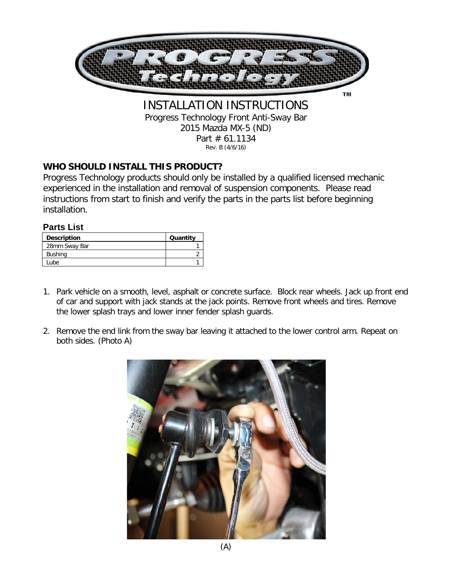

Progress Technology Front Anti-Sway Bar 2015 Mazda MX-5 (ND) Part # 61.1134 Rev. B (4/6/16)

### **WHO SHOULD INSTALL THIS PRODUCT?**

Progress Technology products should only be installed by a qualified licensed mechanic experienced in the installation and removal of suspension components. Please read instructions from start to finish and verify the parts in the parts list before beginning installation.

#### **Parts List**

| <b>Description</b> | Quantity |
|--------------------|----------|
| 28mm Sway Bar      |          |
| <b>Bushing</b>     |          |
| Lube               |          |

- 1. Park vehicle on a smooth, level, asphalt or concrete surface. Block rear wheels. Jack up front end of car and support with jack stands at the jack points. Remove front wheels and tires. Remove the lower splash trays and lower inner fender splash guards.
- 2. Remove the end link from the sway bar leaving it attached to the lower control arm. Repeat on both sides. (Photo A)

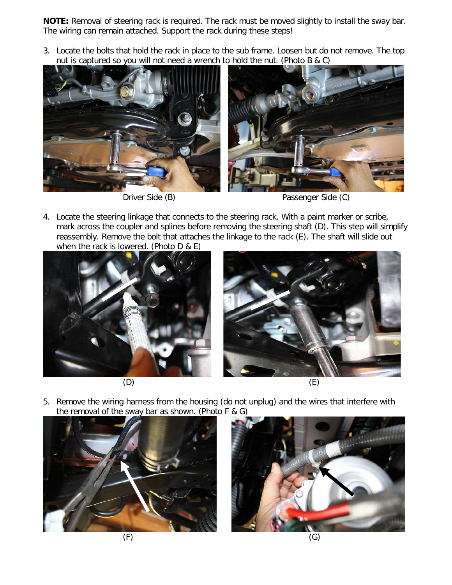**NOTE:** Removal of steering rack is required. The rack must be moved slightly to install the sway bar. The wiring can remain attached. Support the rack during these steps!

3. Locate the bolts that hold the rack in place to the sub frame. Loosen but do not remove. The top nut is captured so you will not need a wrench to hold the nut. (Photo B & C)



Driver Side (B) Passenger Side (C)

4. Locate the steering linkage that connects to the steering rack. With a paint marker or scribe, mark across the coupler and splines before removing the steering shaft (D). This step will simplify reassembly. Remove the bolt that attaches the linkage to the rack (E). The shaft will slide out when the rack is lowered. (Photo D & E)







5. Remove the wiring harness from the housing (do not unplug) and the wires that interfere with the removal of the sway bar as shown. (Photo F & G)



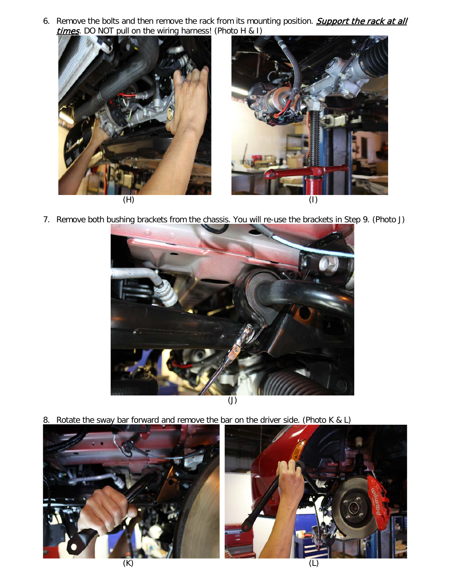6. Remove the bolts and then remove the rack from its mounting position. **Support the rack at all** times. DO NOT pull on the wiring harness! (Photo H & I)



7. Remove both bushing brackets from the chassis. You will re-use the brackets in Step 9. (Photo J)



8. Rotate the sway bar forward and remove the bar on the driver side. (Photo K & L)

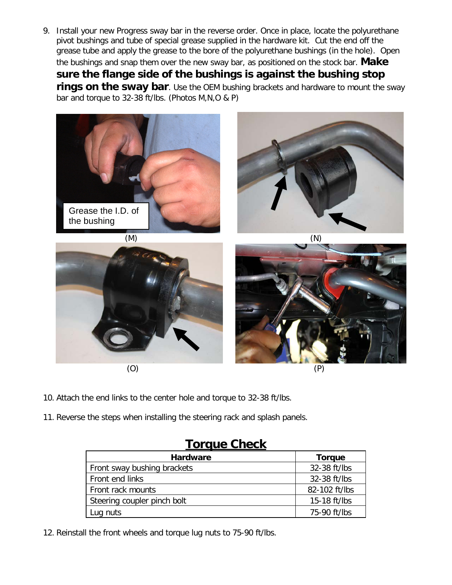9. Install your new Progress sway bar in the reverse order. Once in place, locate the polyurethane pivot bushings and tube of special grease supplied in the hardware kit. Cut the end off the grease tube and apply the grease to the bore of the polyurethane bushings (in the hole). Open the bushings and snap them over the new sway bar, as positioned on the stock bar. **Make sure the flange side of the bushings is against the bushing stop rings on the sway bar**. Use the OEM bushing brackets and hardware to mount the sway bar and torque to 32-38 ft/lbs. (Photos M,N,O & P)









- 10. Attach the end links to the center hole and torque to 32-38 ft/lbs.
- 11. Reverse the steps when installing the steering rack and splash panels.

# **Torque Check**

| <b>Hardware</b>             | <b>Torque</b> |
|-----------------------------|---------------|
| Front sway bushing brackets | 32-38 ft/lbs  |
| Front end links             | 32-38 ft/lbs  |
| Front rack mounts           | 82-102 ft/lbs |
| Steering coupler pinch bolt | 15-18 ft/lbs  |
| Lug nuts                    | 75-90 ft/lbs  |

12. Reinstall the front wheels and torque lug nuts to 75-90 ft/lbs.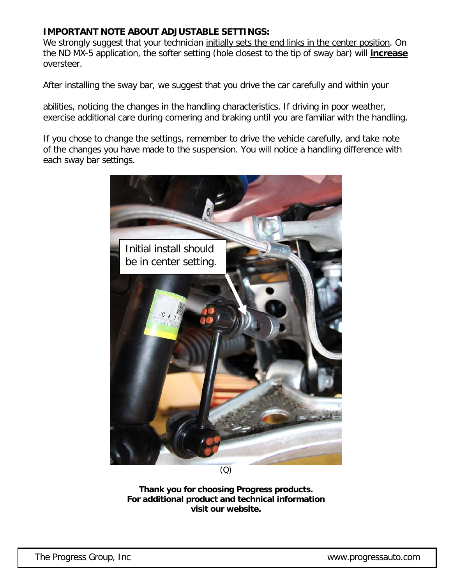#### **IMPORTANT NOTE ABOUT ADJUSTABLE SETTINGS:**

We strongly suggest that your technician initially sets the end links in the center position. On the ND MX-5 application, the softer setting (hole closest to the tip of sway bar) will **increase** oversteer.

After installing the sway bar, we suggest that you drive the car carefully and within your

abilities, noticing the changes in the handling characteristics. If driving in poor weather, exercise additional care during cornering and braking until you are familiar with the handling.

If you chose to change the settings, remember to drive the vehicle carefully, and take note of the changes you have made to the suspension. You will notice a handling difference with each sway bar settings.



(Q)

**Thank you for choosing Progress products. For additional product and technical information visit our website.**

The Progress Group, Inc www.progressauto.com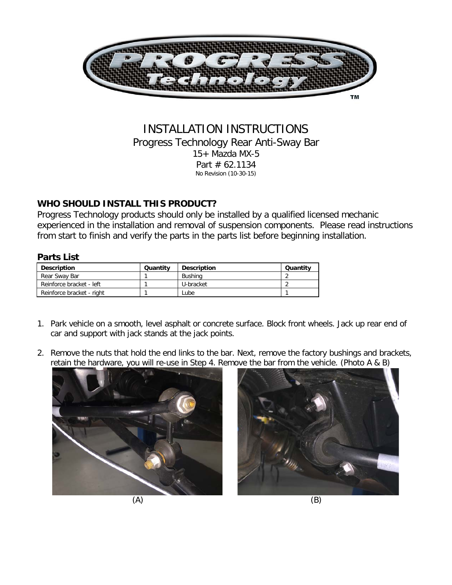

#### INSTALLATION INSTRUCTIONS Progress Technology Rear Anti-Sway Bar 15+ Mazda MX-5 Part # 62.1134 No Revision (10-30-15)

### **WHO SHOULD INSTALL THIS PRODUCT?**

Progress Technology products should only be installed by a qualified licensed mechanic experienced in the installation and removal of suspension components. Please read instructions from start to finish and verify the parts in the parts list before beginning installation.

#### **Parts List**

| <b>Description</b>        | Quantity | <b>Description</b> | Quantity |
|---------------------------|----------|--------------------|----------|
| Rear Sway Bar             |          | Bushina            |          |
| Reinforce bracket - left  |          | U-bracket          |          |
| Reinforce bracket - right |          | Lube               |          |

- 1. Park vehicle on a smooth, level asphalt or concrete surface. Block front wheels. Jack up rear end of car and support with jack stands at the jack points.
- 2. Remove the nuts that hold the end links to the bar. Next, remove the factory bushings and brackets, retain the hardware, you will re-use in Step 4. Remove the bar from the vehicle. (Photo A & B)



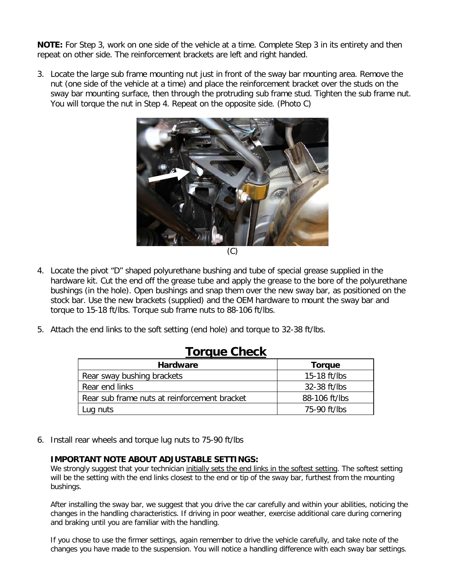**NOTE:** For Step 3, work on one side of the vehicle at a time. Complete Step 3 in its entirety and then repeat on other side. The reinforcement brackets are left and right handed.

3. Locate the large sub frame mounting nut just in front of the sway bar mounting area. Remove the nut (one side of the vehicle at a time) and place the reinforcement bracket over the studs on the sway bar mounting surface, then through the protruding sub frame stud. Tighten the sub frame nut. You will torque the nut in Step 4. Repeat on the opposite side. (Photo C)



- 4. Locate the pivot "D" shaped polyurethane bushing and tube of special grease supplied in the hardware kit. Cut the end off the grease tube and apply the grease to the bore of the polyurethane bushings (in the hole). Open bushings and snap them over the new sway bar, as positioned on the stock bar. Use the new brackets (supplied) and the OEM hardware to mount the sway bar and torque to 15-18 ft/lbs. Torque sub frame nuts to 88-106 ft/lbs.
- 5. Attach the end links to the soft setting (end hole) and torque to 32-38 ft/lbs.

## **Torque Check**

| <b>Hardware</b>                              | Torque        |
|----------------------------------------------|---------------|
| Rear sway bushing brackets                   | 15-18 ft/lbs  |
| Rear end links                               | 32-38 ft/lbs  |
| Rear sub frame nuts at reinforcement bracket | 88-106 ft/lbs |
| Lug nuts                                     | 75-90 ft/lbs  |

6. Install rear wheels and torque lug nuts to 75-90 ft/lbs

#### **IMPORTANT NOTE ABOUT ADJUSTABLE SETTINGS:**

We strongly suggest that your technician initially sets the end links in the softest setting. The softest setting will be the setting with the end links closest to the end or tip of the sway bar, furthest from the mounting bushings.

After installing the sway bar, we suggest that you drive the car carefully and within your abilities, noticing the changes in the handling characteristics. If driving in poor weather, exercise additional care during cornering and braking until you are familiar with the handling.

If you chose to use the firmer settings, again remember to drive the vehicle carefully, and take note of the changes you have made to the suspension. You will notice a handling difference with each sway bar settings.